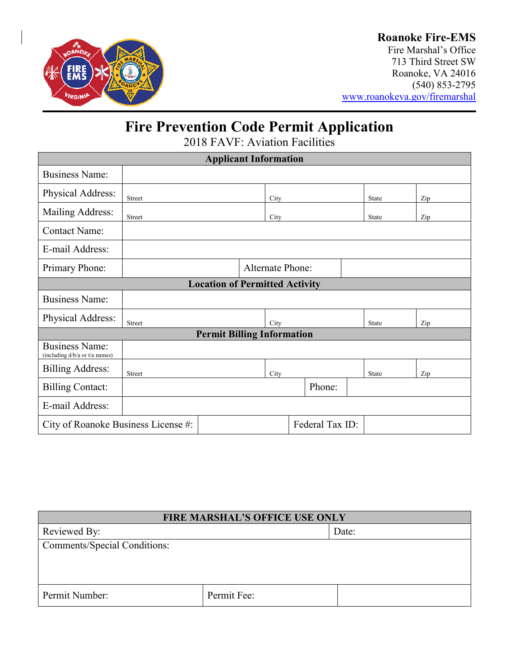

## **Roanoke Fire-EMS**

Fire Marshal's Office 713 Third Street SW Roanoke, VA 24016 (540) 853-2795 [www.roanokeva.gov/firemarshal](http://www.roanokeva.gov/firemarshal)

# **Fire Prevention Code Permit Application**

2018 FAVF: Aviation Facilities

| <b>Applicant Information</b>                            |                         |  |      |        |  |              |     |
|---------------------------------------------------------|-------------------------|--|------|--------|--|--------------|-----|
| <b>Business Name:</b>                                   |                         |  |      |        |  |              |     |
| Physical Address:                                       | Street                  |  | City |        |  | <b>State</b> | Zip |
| Mailing Address:                                        | Street                  |  | City |        |  | <b>State</b> | Zip |
| <b>Contact Name:</b>                                    |                         |  |      |        |  |              |     |
| E-mail Address:                                         |                         |  |      |        |  |              |     |
| Primary Phone:                                          | <b>Alternate Phone:</b> |  |      |        |  |              |     |
| <b>Location of Permitted Activity</b>                   |                         |  |      |        |  |              |     |
| <b>Business Name:</b>                                   |                         |  |      |        |  |              |     |
| Physical Address:                                       | Street                  |  | City |        |  | State        | Zip |
| <b>Permit Billing Information</b>                       |                         |  |      |        |  |              |     |
| <b>Business Name:</b><br>(including d/b/a or t/a names) |                         |  |      |        |  |              |     |
| <b>Billing Address:</b>                                 | Street                  |  | City |        |  | <b>State</b> | Zip |
| <b>Billing Contact:</b>                                 |                         |  |      | Phone: |  |              |     |
| E-mail Address:                                         |                         |  |      |        |  |              |     |
| Federal Tax ID:<br>City of Roanoke Business License #:  |                         |  |      |        |  |              |     |

| <b>FIRE MARSHAL'S OFFICE USE ONLY</b> |             |       |
|---------------------------------------|-------------|-------|
| Reviewed By:                          |             | Date: |
| <b>Comments/Special Conditions:</b>   |             |       |
|                                       |             |       |
|                                       |             |       |
| Permit Number:                        | Permit Fee: |       |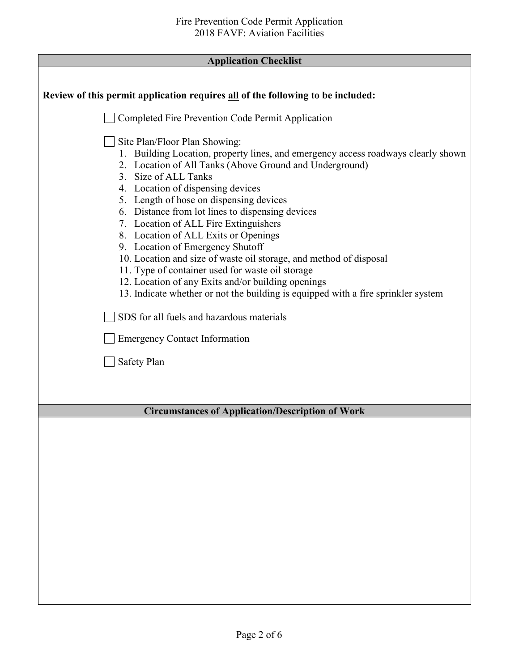| <b>Application Checklist</b> |  |
|------------------------------|--|
|------------------------------|--|

| Review of this permit application requires all of the following to be included:                                                                                                                                                                                                                                                                                                                                                                                                                                                                                                                                                                                                                                                     |
|-------------------------------------------------------------------------------------------------------------------------------------------------------------------------------------------------------------------------------------------------------------------------------------------------------------------------------------------------------------------------------------------------------------------------------------------------------------------------------------------------------------------------------------------------------------------------------------------------------------------------------------------------------------------------------------------------------------------------------------|
| Completed Fire Prevention Code Permit Application                                                                                                                                                                                                                                                                                                                                                                                                                                                                                                                                                                                                                                                                                   |
| Site Plan/Floor Plan Showing:<br>1. Building Location, property lines, and emergency access roadways clearly shown<br>2. Location of All Tanks (Above Ground and Underground)<br>3. Size of ALL Tanks<br>4. Location of dispensing devices<br>5. Length of hose on dispensing devices<br>6. Distance from lot lines to dispensing devices<br>7. Location of ALL Fire Extinguishers<br>8. Location of ALL Exits or Openings<br>9. Location of Emergency Shutoff<br>10. Location and size of waste oil storage, and method of disposal<br>11. Type of container used for waste oil storage<br>12. Location of any Exits and/or building openings<br>13. Indicate whether or not the building is equipped with a fire sprinkler system |
| SDS for all fuels and hazardous materials                                                                                                                                                                                                                                                                                                                                                                                                                                                                                                                                                                                                                                                                                           |
| <b>Emergency Contact Information</b>                                                                                                                                                                                                                                                                                                                                                                                                                                                                                                                                                                                                                                                                                                |
| Safety Plan                                                                                                                                                                                                                                                                                                                                                                                                                                                                                                                                                                                                                                                                                                                         |
|                                                                                                                                                                                                                                                                                                                                                                                                                                                                                                                                                                                                                                                                                                                                     |
| <b>Circumstances of Application/Description of Work</b>                                                                                                                                                                                                                                                                                                                                                                                                                                                                                                                                                                                                                                                                             |
|                                                                                                                                                                                                                                                                                                                                                                                                                                                                                                                                                                                                                                                                                                                                     |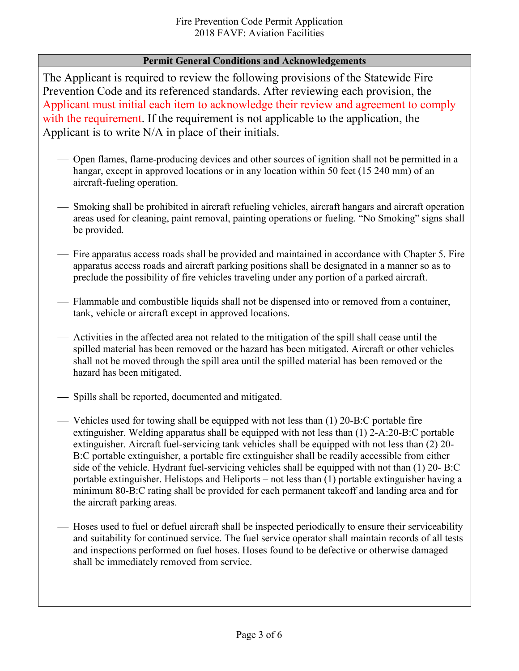### **Permit General Conditions and Acknowledgements**

The Applicant is required to review the following provisions of the Statewide Fire Prevention Code and its referenced standards. After reviewing each provision, the Applicant must initial each item to acknowledge their review and agreement to comply with the requirement. If the requirement is not applicable to the application, the Applicant is to write N/A in place of their initials.

- Open flames, flame-producing devices and other sources of ignition shall not be permitted in a hangar, except in approved locations or in any location within 50 feet (15 240 mm) of an aircraft-fueling operation.
- Smoking shall be prohibited in aircraft refueling vehicles, aircraft hangars and aircraft operation areas used for cleaning, paint removal, painting operations or fueling. "No Smoking" signs shall be provided.
- Fire apparatus access roads shall be provided and maintained in accordance with Chapter 5. Fire apparatus access roads and aircraft parking positions shall be designated in a manner so as to preclude the possibility of fire vehicles traveling under any portion of a parked aircraft.
- Flammable and combustible liquids shall not be dispensed into or removed from a container, tank, vehicle or aircraft except in approved locations.
- Activities in the affected area not related to the mitigation of the spill shall cease until the spilled material has been removed or the hazard has been mitigated. Aircraft or other vehicles shall not be moved through the spill area until the spilled material has been removed or the hazard has been mitigated.
- Spills shall be reported, documented and mitigated.
- Vehicles used for towing shall be equipped with not less than  $(1)$  20-B:C portable fire extinguisher. Welding apparatus shall be equipped with not less than (1) 2-A:20-B:C portable extinguisher. Aircraft fuel-servicing tank vehicles shall be equipped with not less than (2) 20- B:C portable extinguisher, a portable fire extinguisher shall be readily accessible from either side of the vehicle. Hydrant fuel-servicing vehicles shall be equipped with not than (1) 20- B:C portable extinguisher. Helistops and Heliports – not less than (1) portable extinguisher having a minimum 80-B:C rating shall be provided for each permanent takeoff and landing area and for the aircraft parking areas.
- Hoses used to fuel or defuel aircraft shall be inspected periodically to ensure their serviceability and suitability for continued service. The fuel service operator shall maintain records of all tests and inspections performed on fuel hoses. Hoses found to be defective or otherwise damaged shall be immediately removed from service.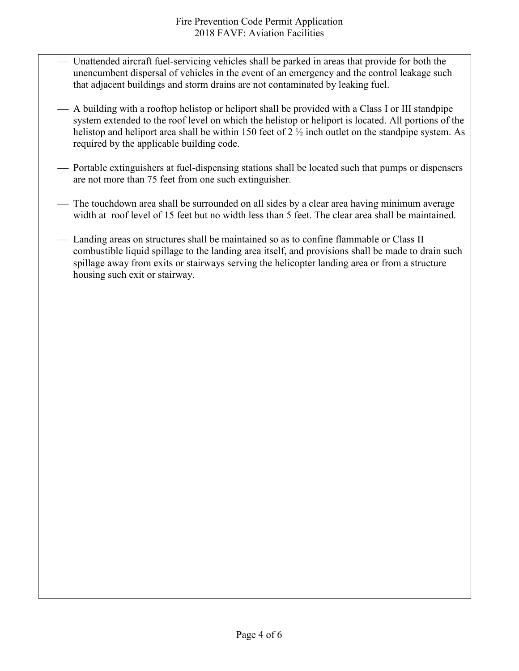- Unattended aircraft fuel-servicing vehicles shall be parked in areas that provide for both the unencumbent dispersal of vehicles in the event of an emergency and the control leakage such that adjacent buildings and storm drains are not contaminated by leaking fuel.
- A building with a rooftop helistop or heliport shall be provided with a Class I or III standpipe system extended to the roof level on which the helistop or heliport is located. All portions of the helistop and heliport area shall be within 150 feet of 2  $\frac{1}{2}$  inch outlet on the standpipe system. As required by the applicable building code.
- Portable extinguishers at fuel-dispensing stations shall be located such that pumps or dispensers are not more than 75 feet from one such extinguisher.
- The touchdown area shall be surrounded on all sides by a clear area having minimum average width at roof level of 15 feet but no width less than 5 feet. The clear area shall be maintained.
- Landing areas on structures shall be maintained so as to confine flammable or Class II combustible liquid spillage to the landing area itself, and provisions shall be made to drain such spillage away from exits or stairways serving the helicopter landing area or from a structure housing such exit or stairway.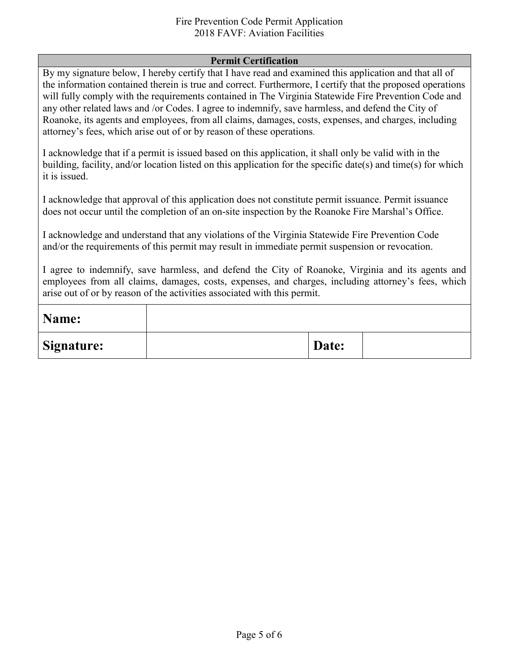#### Fire Prevention Code Permit Application 2018 FAVF: Aviation Facilities

#### **Permit Certification**

By my signature below, I hereby certify that I have read and examined this application and that all of the information contained therein is true and correct. Furthermore, I certify that the proposed operations will fully comply with the requirements contained in The Virginia Statewide Fire Prevention Code and any other related laws and /or Codes. I agree to indemnify, save harmless, and defend the City of Roanoke, its agents and employees, from all claims, damages, costs, expenses, and charges, including attorney's fees, which arise out of or by reason of these operations.

I acknowledge that if a permit is issued based on this application, it shall only be valid with in the building, facility, and/or location listed on this application for the specific date(s) and time(s) for which it is issued.

I acknowledge that approval of this application does not constitute permit issuance. Permit issuance does not occur until the completion of an on-site inspection by the Roanoke Fire Marshal's Office.

I acknowledge and understand that any violations of the Virginia Statewide Fire Prevention Code and/or the requirements of this permit may result in immediate permit suspension or revocation.

I agree to indemnify, save harmless, and defend the City of Roanoke, Virginia and its agents and employees from all claims, damages, costs, expenses, and charges, including attorney's fees, which arise out of or by reason of the activities associated with this permit.

| Name:      |       |  |
|------------|-------|--|
| Signature: | Date: |  |